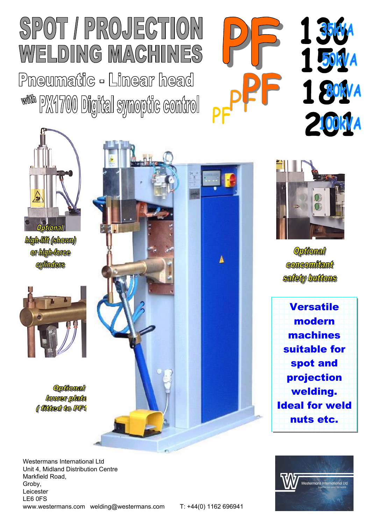## SPOT / PROJECTION WELDING MACHINES

Pneumatic - Linear head www px4700 Digital synoptic control







high-lift (shown) or high-force **cylinders** 



**Optional** lower plate (*(fikked to PF1* 





**Optional Concomitant** safety buttons





Westermans International Ltd Unit 4, Midland Distribution Centre Markfield Road, Groby, Leicester LE6 0FS <www.westermans.com> welding@westermans.com T: +44(0) 1162 696941